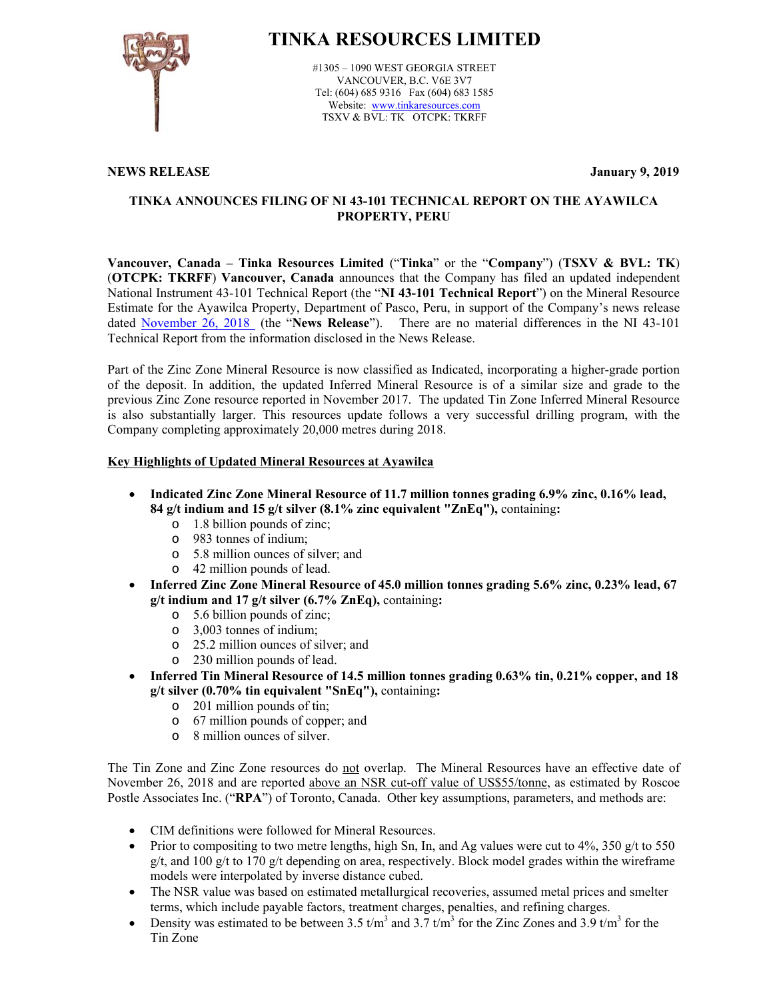

# **TINKA RESOURCES LIMITED**

#1305 – 1090 WEST GEORGIA STREET VANCOUVER, B.C. V6E 3V7 Tel: (604) 685 9316 Fax (604) 683 1585 Website: www.tinkaresources.com TSXV & BVL: TK OTCPK: TKRFF

## **NEWS RELEASE January 9, 2019**

## **TINKA ANNOUNCES FILING OF NI 43-101 TECHNICAL REPORT ON THE AYAWILCA PROPERTY, PERU**

**Vancouver, Canada – Tinka Resources Limited** ("**Tinka**" or the "**Company**") (**TSXV & BVL: TK**) (**OTCPK: TKRFF**) **Vancouver, Canada** announces that the Company has filed an updated independent National Instrument 43-101 Technical Report (the "**NI 43-101 Technical Report**") on the Mineral Resource Estimate for the Ayawilca Property, Department of Pasco, Peru, in support of the Company's news release dated November 26, 2018 (the "**News Release**"). There are no material differences in the NI 43-101 Technical Report from the information disclosed in the News Release.

Part of the Zinc Zone Mineral Resource is now classified as Indicated, incorporating a higher-grade portion of the deposit. In addition, the updated Inferred Mineral Resource is of a similar size and grade to the previous Zinc Zone resource reported in November 2017. The updated Tin Zone Inferred Mineral Resource is also substantially larger. This resources update follows a very successful drilling program, with the Company completing approximately 20,000 metres during 2018.

# **Key Highlights of Updated Mineral Resources at Ayawilca**

- **Indicated Zinc Zone Mineral Resource of 11.7 million tonnes grading 6.9% zinc, 0.16% lead, 84 g/t indium and 15 g/t silver (8.1% zinc equivalent "ZnEq"),** containing**:** 
	- o 1.8 billion pounds of zinc;
	- o 983 tonnes of indium;
	- o 5.8 million ounces of silver; and
	- o 42 million pounds of lead.
- **Inferred Zinc Zone Mineral Resource of 45.0 million tonnes grading 5.6% zinc, 0.23% lead, 67 g/t indium and 17 g/t silver (6.7% ZnEq),** containing**:** 
	- o 5.6 billion pounds of zinc;
	- o 3,003 tonnes of indium;
	- o 25.2 million ounces of silver; and
	- o 230 million pounds of lead.
- **Inferred Tin Mineral Resource of 14.5 million tonnes grading 0.63% tin, 0.21% copper, and 18 g/t silver (0.70% tin equivalent "SnEq"),** containing**:** 
	- o 201 million pounds of tin;
	- o 67 million pounds of copper; and
	- o 8 million ounces of silver.

The Tin Zone and Zinc Zone resources do not overlap. The Mineral Resources have an effective date of November 26, 2018 and are reported above an NSR cut-off value of US\$55/tonne, as estimated by Roscoe Postle Associates Inc. ("RPA") of Toronto, Canada. Other key assumptions, parameters, and methods are:

- CIM definitions were followed for Mineral Resources.
- Prior to compositing to two metre lengths, high Sn, In, and Ag values were cut to  $4\%$ , 350 g/t to 550  $g/t$ , and 100 g/t to 170 g/t depending on area, respectively. Block model grades within the wireframe models were interpolated by inverse distance cubed.
- The NSR value was based on estimated metallurgical recoveries, assumed metal prices and smelter terms, which include payable factors, treatment charges, penalties, and refining charges.
- Density was estimated to be between 3.5  $t/m^3$  and 3.7  $t/m^3$  for the Zinc Zones and 3.9  $t/m^3$  for the Tin Zone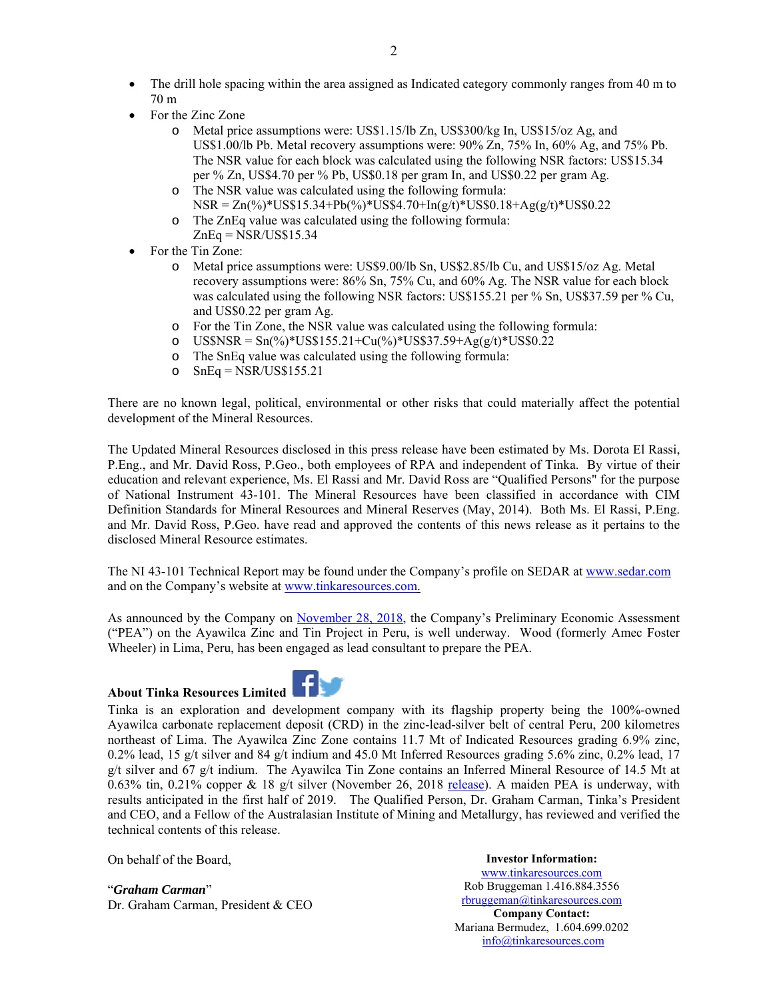- The drill hole spacing within the area assigned as Indicated category commonly ranges from 40 m to 70 m
- For the Zinc Zone
	- o Metal price assumptions were: US\$1.15/lb Zn, US\$300/kg In, US\$15/oz Ag, and US\$1.00/lb Pb. Metal recovery assumptions were: 90% Zn, 75% In, 60% Ag, and 75% Pb. The NSR value for each block was calculated using the following NSR factors: US\$15.34 per % Zn, US\$4.70 per % Pb, US\$0.18 per gram In, and US\$0.22 per gram Ag.
	- o The NSR value was calculated using the following formula:  $NSR = Zn(\%)^*US$15.34+Pb(\%)^*US$4.70+In(g/t)*US$0.18+Ag(g/t)*US$0.22$
	- o The ZnEq value was calculated using the following formula:  $ZnEq = NSR/US$15.34$
- For the Tin Zone:
	- o Metal price assumptions were: US\$9.00/lb Sn, US\$2.85/lb Cu, and US\$15/oz Ag. Metal recovery assumptions were: 86% Sn, 75% Cu, and 60% Ag. The NSR value for each block was calculated using the following NSR factors: US\$155.21 per % Sn, US\$37.59 per % Cu, and US\$0.22 per gram Ag.
	- o For the Tin Zone, the NSR value was calculated using the following formula:
	- o US\$NSR =  $Sn(\%)$ \*US\$155.21+Cu(%)\*US\$37.59+Ag(g/t)\*US\$0.22
	- o The SnEq value was calculated using the following formula:
	- o  $SnEq = NSR/US$155.21$

There are no known legal, political, environmental or other risks that could materially affect the potential development of the Mineral Resources.

The Updated Mineral Resources disclosed in this press release have been estimated by Ms. Dorota El Rassi, P.Eng., and Mr. David Ross, P.Geo., both employees of RPA and independent of Tinka. By virtue of their education and relevant experience, Ms. El Rassi and Mr. David Ross are "Qualified Persons" for the purpose of National Instrument 43-101. The Mineral Resources have been classified in accordance with CIM Definition Standards for Mineral Resources and Mineral Reserves (May, 2014). Both Ms. El Rassi, P.Eng. and Mr. David Ross, P.Geo. have read and approved the contents of this news release as it pertains to the disclosed Mineral Resource estimates.

The NI 43-101 Technical Report may be found under the Company's profile on SEDAR at www.sedar.com and on the Company's website at www.tinkaresources.com.

As announced by the Company on November 28, 2018, the Company's Preliminary Economic Assessment ("PEA") on the Ayawilca Zinc and Tin Project in Peru, is well underway. Wood (formerly Amec Foster Wheeler) in Lima, Peru, has been engaged as lead consultant to prepare the PEA.

## **About Tinka Resources Limited**



Tinka is an exploration and development company with its flagship property being the 100%-owned Ayawilca carbonate replacement deposit (CRD) in the zinc-lead-silver belt of central Peru, 200 kilometres northeast of Lima. The Ayawilca Zinc Zone contains 11.7 Mt of Indicated Resources grading 6.9% zinc, 0.2% lead, 15 g/t silver and 84 g/t indium and 45.0 Mt Inferred Resources grading 5.6% zinc, 0.2% lead, 17 g/t silver and 67 g/t indium. The Ayawilca Tin Zone contains an Inferred Mineral Resource of 14.5 Mt at 0.63% tin, 0.21% copper & 18 g/t silver (November 26, 2018 release). A maiden PEA is underway, with results anticipated in the first half of 2019. The Qualified Person, Dr. Graham Carman, Tinka's President and CEO, and a Fellow of the Australasian Institute of Mining and Metallurgy, has reviewed and verified the technical contents of this release.

On behalf of the Board,

"*Graham Carman*" Dr. Graham Carman, President & CEO

**Investor Information:**  www.tinkaresources.com Rob Bruggeman 1.416.884.3556 rbruggeman@tinkaresources.com **Company Contact:** Mariana Bermudez, 1.604.699.0202 info@tinkaresources.com